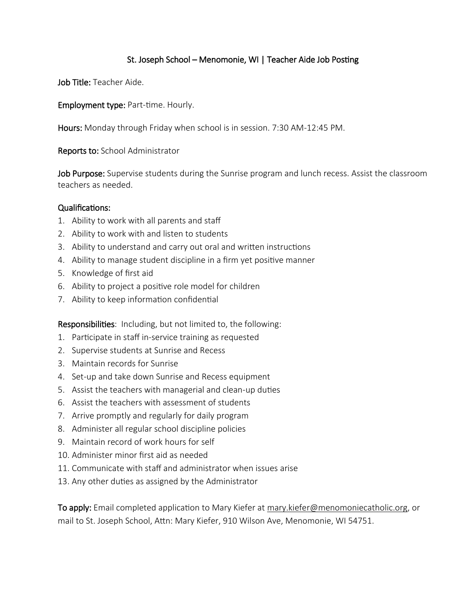#### St. Joseph School – Menomonie, WI | Teacher Aide Job Posting

Job Title: Teacher Aide.

Employment type: Part-time. Hourly.

Hours: Monday through Friday when school is in session. 7:30 AM-12:45 PM.

Reports to: School Administrator

Job Purpose: Supervise students during the Sunrise program and lunch recess. Assist the classroom teachers as needed.

#### Qualifications:

- 1. Ability to work with all parents and staff
- 2. Ability to work with and listen to students
- 3. Ability to understand and carry out oral and written instructions
- 4. Ability to manage student discipline in a firm yet positive manner
- 5. Knowledge of first aid
- 6. Ability to project a positive role model for children
- 7. Ability to keep information confidential

Responsibilities: Including, but not limited to, the following:

- 1. Participate in staff in-service training as requested
- 2. Supervise students at Sunrise and Recess
- 3. Maintain records for Sunrise
- 4. Set-up and take down Sunrise and Recess equipment
- 5. Assist the teachers with managerial and clean-up duties
- 6. Assist the teachers with assessment of students
- 7. Arrive promptly and regularly for daily program
- 8. Administer all regular school discipline policies
- 9. Maintain record of work hours for self
- 10. Administer minor first aid as needed
- 11. Communicate with staff and administrator when issues arise
- 13. Any other duties as assigned by the Administrator

To apply: Email completed application to Mary Kiefer at mary.kiefer@menomoniecatholic.org, or mail to St. Joseph School, Attn: Mary Kiefer, 910 Wilson Ave, Menomonie, WI 54751.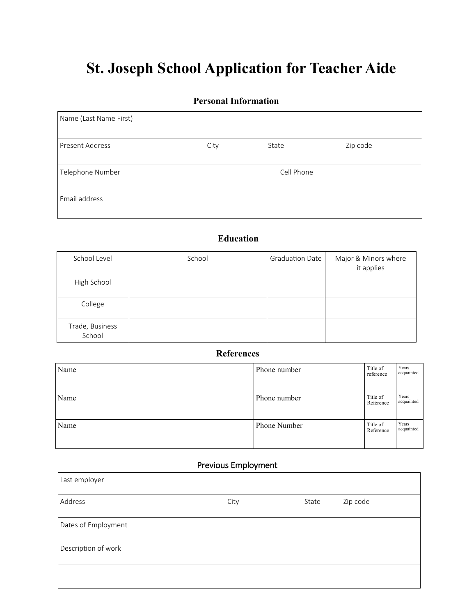# **St. Joseph School Application for Teacher Aide**

#### **Personal Information**

| Name (Last Name First) |      |            |          |
|------------------------|------|------------|----------|
| <b>Present Address</b> | City | State      | Zip code |
| Telephone Number       |      | Cell Phone |          |
| Email address          |      |            |          |

## **Education**

| School Level              | School | <b>Graduation Date</b> | Major & Minors where<br>it applies |
|---------------------------|--------|------------------------|------------------------------------|
| High School               |        |                        |                                    |
| College                   |        |                        |                                    |
| Trade, Business<br>School |        |                        |                                    |

#### **References**

| Name | Phone number | Title of<br>reference | Years<br>acquainted |
|------|--------------|-----------------------|---------------------|
| Name | Phone number | Title of<br>Reference | Years<br>acquainted |
| Name | Phone Number | Title of<br>Reference | Years<br>acquainted |

## Previous Employment

 $\overline{\phantom{0}}$ 

| Last employer       |      |       |          |
|---------------------|------|-------|----------|
| Address             | City | State | Zip code |
| Dates of Employment |      |       |          |
| Description of work |      |       |          |
|                     |      |       |          |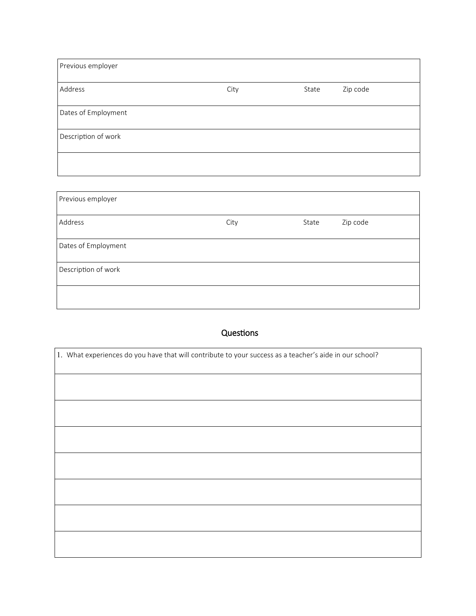| Previous employer   |      |       |          |
|---------------------|------|-------|----------|
| Address             | City | State | Zip code |
| Dates of Employment |      |       |          |
| Description of work |      |       |          |
|                     |      |       |          |

| Previous employer   |      |       |          |
|---------------------|------|-------|----------|
| Address             | City | State | Zip code |
| Dates of Employment |      |       |          |
| Description of work |      |       |          |
|                     |      |       |          |

## Questions

| 1. What experiences do you have that will contribute to your success as a teacher's aide in our school? |
|---------------------------------------------------------------------------------------------------------|
|                                                                                                         |
|                                                                                                         |
|                                                                                                         |
|                                                                                                         |
|                                                                                                         |
|                                                                                                         |
|                                                                                                         |
|                                                                                                         |
|                                                                                                         |